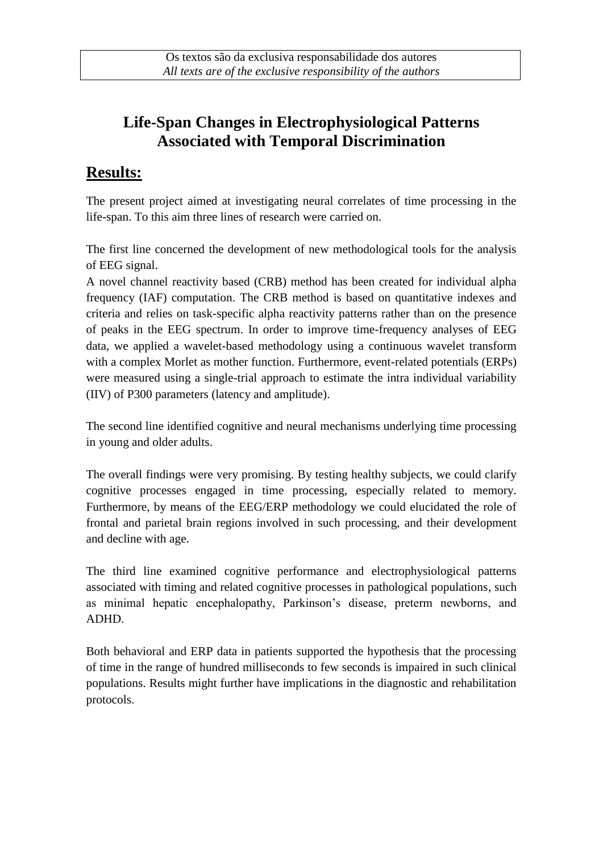# **Life-Span Changes in Electrophysiological Patterns Associated with Temporal Discrimination**

### **Results:**

The present project aimed at investigating neural correlates of time processing in the life-span. To this aim three lines of research were carried on.

The first line concerned the development of new methodological tools for the analysis of EEG signal.

A novel channel reactivity based (CRB) method has been created for individual alpha frequency (IAF) computation. The CRB method is based on quantitative indexes and criteria and relies on task-specific alpha reactivity patterns rather than on the presence of peaks in the EEG spectrum. In order to improve time-frequency analyses of EEG data, we applied a wavelet-based methodology using a continuous wavelet transform with a complex Morlet as mother function. Furthermore, event-related potentials (ERPs) were measured using a single-trial approach to estimate the intra individual variability (IIV) of P300 parameters (latency and amplitude).

The second line identified cognitive and neural mechanisms underlying time processing in young and older adults.

The overall findings were very promising. By testing healthy subjects, we could clarify cognitive processes engaged in time processing, especially related to memory. Furthermore, by means of the EEG/ERP methodology we could elucidated the role of frontal and parietal brain regions involved in such processing, and their development and decline with age.

The third line examined cognitive performance and electrophysiological patterns associated with timing and related cognitive processes in pathological populations, such as minimal hepatic encephalopathy, Parkinson's disease, preterm newborns, and ADHD.

Both behavioral and ERP data in patients supported the hypothesis that the processing of time in the range of hundred milliseconds to few seconds is impaired in such clinical populations. Results might further have implications in the diagnostic and rehabilitation protocols.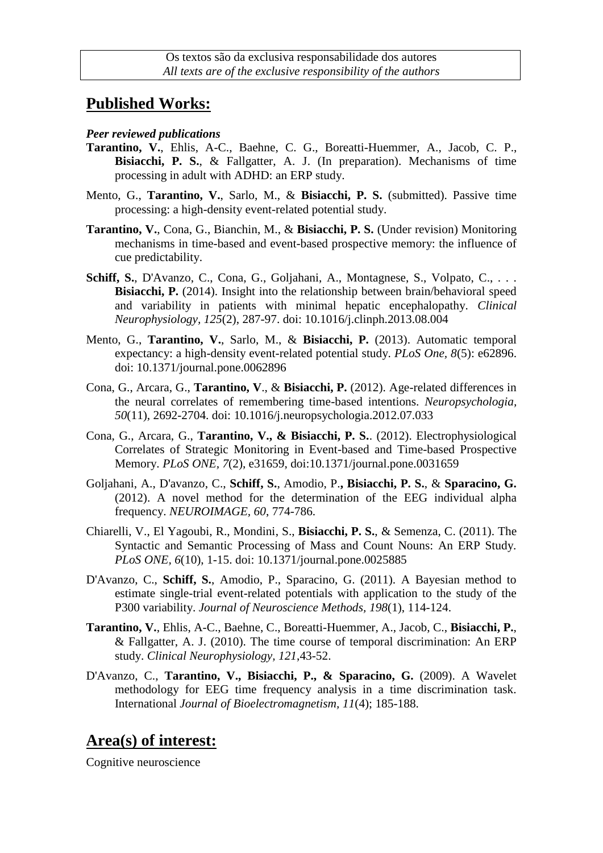## **Published Works:**

#### *Peer reviewed publications*

- **Tarantino, V.**, Ehlis, A-C., Baehne, C. G., Boreatti-Huemmer, A., Jacob, C. P., **Bisiacchi, P. S.**, & Fallgatter, A. J. (In preparation). Mechanisms of time processing in adult with ADHD: an ERP study.
- Mento, G., **Tarantino, V.**, Sarlo, M., & **Bisiacchi, P. S.** (submitted). Passive time processing: a high-density event-related potential study.
- **Tarantino, V.**, Cona, G., Bianchin, M., & **Bisiacchi, P. S.** (Under revision) Monitoring mechanisms in time-based and event-based prospective memory: the influence of cue predictability.
- Schiff, S., D'Avanzo, C., Cona, G., Goljahani, A., Montagnese, S., Volpato, C., ... **Bisiacchi, P.** (2014). Insight into the relationship between brain/behavioral speed and variability in patients with minimal hepatic encephalopathy. *Clinical Neurophysiology, 125*(2), 287-97. doi: 10.1016/j.clinph.2013.08.004
- Mento, G., **Tarantino, V.**, Sarlo, M., & **Bisiacchi, P.** (2013). Automatic temporal expectancy: a high-density event-related potential study. *PLoS One, 8*(5): e62896. doi: 10.1371/journal.pone.0062896
- Cona, G., Arcara, G., **Tarantino, V**., & **Bisiacchi, P.** (2012). Age-related differences in the neural correlates of remembering time-based intentions. *Neuropsychologia, 50*(11), 2692-2704. doi: 10.1016/j.neuropsychologia.2012.07.033
- Cona, G., Arcara, G., **Tarantino, V., & Bisiacchi, P. S.**. (2012). Electrophysiological Correlates of Strategic Monitoring in Event-based and Time-based Prospective Memory. *PLoS ONE, 7*(2), e31659, doi:10.1371/journal.pone.0031659
- Goljahani, A., D'avanzo, C., **Schiff, S.**, Amodio, P.**, Bisiacchi, P. S.**, & **Sparacino, G.** (2012). A novel method for the determination of the EEG individual alpha frequency. *NEUROIMAGE, 60*, 774-786.
- Chiarelli, V., El Yagoubi, R., Mondini, S., **Bisiacchi, P. S.**, & Semenza, C. (2011). The Syntactic and Semantic Processing of Mass and Count Nouns: An ERP Study. *PLoS ONE, 6*(10), 1-15. doi: 10.1371/journal.pone.0025885
- D'Avanzo, C., **Schiff, S.**, Amodio, P., Sparacino, G. (2011). A Bayesian method to estimate single-trial event-related potentials with application to the study of the P300 variability. *Journal of Neuroscience Methods, 198*(1), 114-124.
- **Tarantino, V.**, Ehlis, A-C., Baehne, C., Boreatti-Huemmer, A., Jacob, C., **Bisiacchi, P.**, & Fallgatter, A. J. (2010). The time course of temporal discrimination: An ERP study. *Clinical Neurophysiology, 121*,43-52.
- D'Avanzo, C., **Tarantino, V., Bisiacchi, P., & Sparacino, G.** (2009). A Wavelet methodology for EEG time frequency analysis in a time discrimination task. International *Journal of Bioelectromagnetism, 11*(4); 185-188.

## **Area(s) of interest:**

Cognitive neuroscience